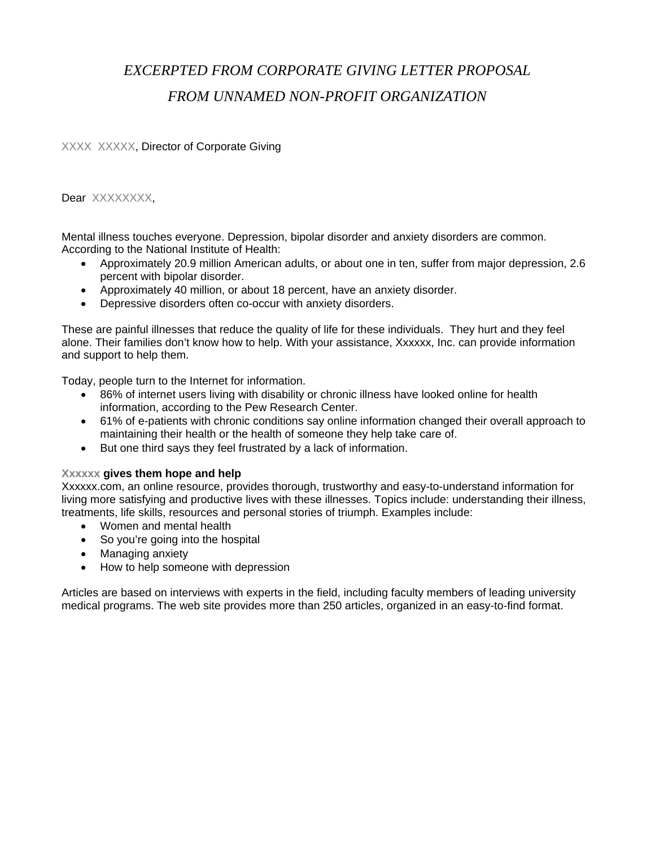## *EXCERPTED FROM CORPORATE GIVING LETTER PROPOSAL FROM UNNAMED NON-PROFIT ORGANIZATION*

XXXX XXXXX, Director of Corporate Giving

Dear XXXXXXXX,

Mental illness touches everyone. Depression, bipolar disorder and anxiety disorders are common. According to the National Institute of Health:

- Approximately 20.9 million American adults, or about one in ten, suffer from major depression, 2.6 percent with bipolar disorder.
- Approximately 40 million, or about 18 percent, have an anxiety disorder.
- Depressive disorders often co-occur with anxiety disorders.

These are painful illnesses that reduce the quality of life for these individuals. They hurt and they feel alone. Their families don't know how to help. With your assistance, Xxxxxx, Inc. can provide information and support to help them.

Today, people turn to the Internet for information.

- 86% of internet users living with disability or chronic illness have looked online for health information, according to the Pew Research Center.
- 61% of e-patients with chronic conditions say online information changed their overall approach to maintaining their health or the health of someone they help take care of.
- But one third says they feel frustrated by a lack of information.

## **Xxxxxx gives them hope and help**

Xxxxxx.com, an online resource, provides thorough, trustworthy and easy-to-understand information for living more satisfying and productive lives with these illnesses. Topics include: understanding their illness, treatments, life skills, resources and personal stories of triumph. Examples include:

- Women and mental health
- So you're going into the hospital
- Managing anxiety
- How to help someone with depression

Articles are based on interviews with experts in the field, including faculty members of leading university medical programs. The web site provides more than 250 articles, organized in an easy-to-find format.